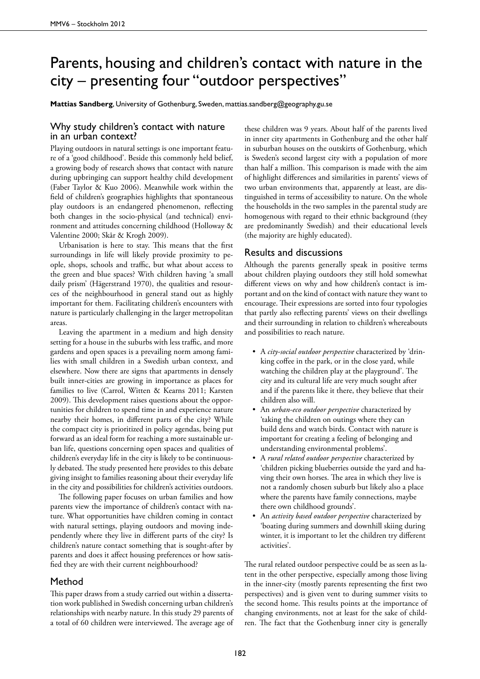## Parents, housing and children's contact with nature in the city – presenting four "outdoor perspectives"

**Mattias Sandberg**, University of Gothenburg, Sweden, mattias.sandberg@geography.gu.se

## Why study children's contact with nature in an urban context?

Playing outdoors in natural settings is one important feature of a 'good childhood'. Beside this commonly held belief, a growing body of research shows that contact with nature during upbringing can support healthy child development (Faber Taylor & Kuo 2006). Meanwhile work within the field of children's geographies highlights that spontaneous play outdoors is an endangered phenomenon, reflecting both changes in the socio-physical (and technical) environment and attitudes concerning childhood (Holloway & Valentine 2000; Skår & Krogh 2009).

Urbanisation is here to stay. This means that the first surroundings in life will likely provide proximity to people, shops, schools and traffic, but what about access to the green and blue spaces? With children having 'a small daily prism' (Hägerstrand 1970), the qualities and resources of the neighbourhood in general stand out as highly important for them. Facilitating children's encounters with nature is particularly challenging in the larger metropolitan areas.

Leaving the apartment in a medium and high density setting for a house in the suburbs with less traffic, and more gardens and open spaces is a prevailing norm among families with small children in a Swedish urban context, and elsewhere. Now there are signs that apartments in densely built inner-cities are growing in importance as places for families to live (Carrol, Witten & Kearns 2011; Karsten 2009). This development raises questions about the opportunities for children to spend time in and experience nature nearby their homes, in different parts of the city? While the compact city is prioritized in policy agendas, being put forward as an ideal form for reaching a more sustainable urban life, questions concerning open spaces and qualities of children's everyday life in the city is likely to be continuously debated. The study presented here provides to this debate giving insight to families reasoning about their everyday life in the city and possibilities for children's activities outdoors.

The following paper focuses on urban families and how parents view the importance of children's contact with nature. What opportunities have children coming in contact with natural settings, playing outdoors and moving independently where they live in different parts of the city? Is children's nature contact something that is sought-after by parents and does it affect housing preferences or how satisfied they are with their current neighbourhood?

## Method

This paper draws from a study carried out within a dissertation work published in Swedish concerning urban children's relationships with nearby nature. In this study 29 parents of a total of 60 children were interviewed. The average age of

these children was 9 years. About half of the parents lived in inner city apartments in Gothenburg and the other half in suburban houses on the outskirts of Gothenburg, which is Sweden's second largest city with a population of more than half a million. This comparison is made with the aim of highlight differences and similarities in parents' views of two urban environments that, apparently at least, are distinguished in terms of accessibility to nature. On the whole the households in the two samples in the parental study are homogenous with regard to their ethnic background (they are predominantly Swedish) and their educational levels (the majority are highly educated).

## Results and discussions

Although the parents generally speak in positive terms about children playing outdoors they still hold somewhat different views on why and how children's contact is important and on the kind of contact with nature they want to encourage. Their expressions are sorted into four typologies that partly also reflecting parents' views on their dwellings and their surrounding in relation to children's whereabouts and possibilities to reach nature.

- • A *city-social outdoor perspective* characterized by 'drinking coffee in the park, or in the close yard, while watching the children play at the playground'. The city and its cultural life are very much sought after and if the parents like it there, they believe that their children also will.
- • An *urban-eco outdoor perspective* characterized by 'taking the children on outings where they can build dens and watch birds. Contact with nature is important for creating a feeling of belonging and understanding environmental problems'.
- • A *rural related outdoor perspective* characterized by 'children picking blueberries outside the yard and having their own horses. The area in which they live is not a randomly chosen suburb but likely also a place where the parents have family connections, maybe there own childhood grounds'.
- An *activity based outdoor perspective* characterized by 'boating during summers and downhill skiing during winter, it is important to let the children try different activities'.

The rural related outdoor perspective could be as seen as latent in the other perspective, especially among those living in the inner-city (mostly parents representing the first two perspectives) and is given vent to during summer visits to the second home. This results points at the importance of changing environments, not at least for the sake of children. The fact that the Gothenburg inner city is generally